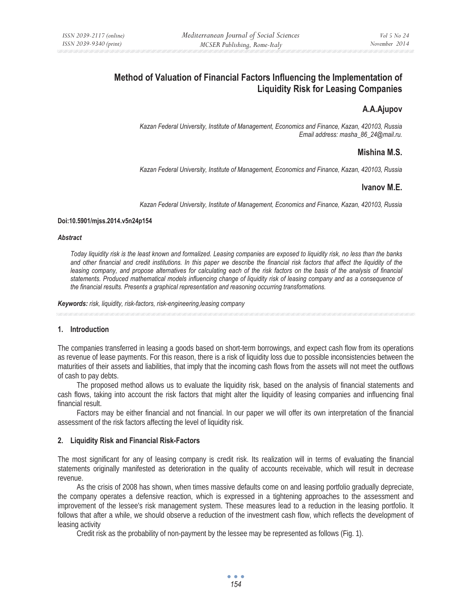# **Method of Valuation of Financial Factors Influencing the Implementation of Liquidity Risk for Leasing Companies**

## **A.A.Ajupov**

*Kazan Federal University, Institute of Management, Economics and Finance, Kazan, 420103, Russia Email address: masha\_86\_24@mail.ru.* 

## **Mishina M.S.**

*Kazan Federal University, Institute of Management, Economics and Finance, Kazan, 420103, Russia* 

## **Ivanov M.E.**

*Kazan Federal University, Institute of Management, Economics and Finance, Kazan, 420103, Russia* 

#### **Doi:10.5901/mjss.2014.v5n24p154**

#### *Abstract*

*Today liquidity risk is the least known and formalized. Leasing companies are exposed to liquidity risk, no less than the banks and other financial and credit institutions. In this paper we describe the financial risk factors that affect the liquidity of the leasing company, and propose alternatives for calculating each of the risk factors on the basis of the analysis of financial* statements. Produced mathematical models influencing change of liquidity risk of leasing company and as a consequence of *the financial results. Presents a graphical representation and reasoning occurring transformations.* 

*Keywords: risk, liquidity, risk-factors, risk-engineering,leasing company*

## **1. Introduction**

The companies transferred in leasing a goods based on short-term borrowings, and expect cash flow from its operations as revenue of lease payments. For this reason, there is a risk of liquidity loss due to possible inconsistencies between the maturities of their assets and liabilities, that imply that the incoming cash flows from the assets will not meet the outflows of cash to pay debts.

The proposed method allows us to evaluate the liquidity risk, based on the analysis of financial statements and cash flows, taking into account the risk factors that might alter the liquidity of leasing companies and influencing final financial result.

Factors may be either financial and not financial. In our paper we will offer its own interpretation of the financial assessment of the risk factors affecting the level of liquidity risk.

#### **2. Liquidity Risk and Financial Risk-Factors**

The most significant for any of leasing company is credit risk. Its realization will in terms of evaluating the financial statements originally manifested as deterioration in the quality of accounts receivable, which will result in decrease revenue.

As the crisis of 2008 has shown, when times massive defaults come on and leasing portfolio gradually depreciate, the company operates a defensive reaction, which is expressed in a tightening approaches to the assessment and improvement of the lessee's risk management system. These measures lead to a reduction in the leasing portfolio. It follows that after a while, we should observe a reduction of the investment cash flow, which reflects the development of leasing activity

Credit risk as the probability of non-payment by the lessee may be represented as follows (Fig. 1).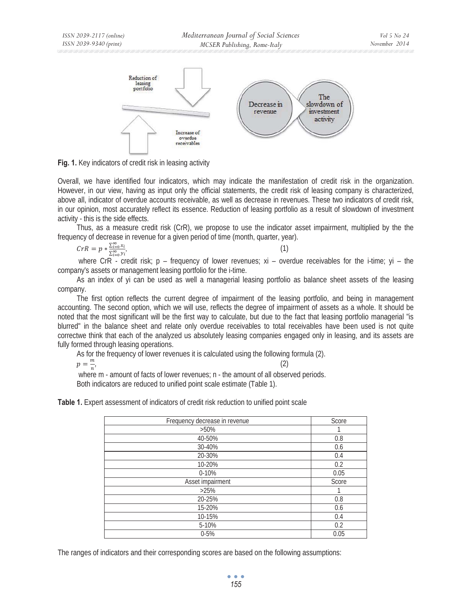

**Fig. 1.** Key indicators of credit risk in leasing activity

Overall, we have identified four indicators, which may indicate the manifestation of credit risk in the organization. However, in our view, having as input only the official statements, the credit risk of leasing company is characterized, above all, indicator of overdue accounts receivable, as well as decrease in revenues. These two indicators of credit risk, in our opinion, most accurately reflect its essence. Reduction of leasing portfolio as a result of slowdown of investment activity - this is the side effects.

Thus, as a measure credit risk (CrR), we propose to use the indicator asset impairment, multiplied by the the frequency of decrease in revenue for a given period of time (month, quarter, year).

$$
CrR = p * \frac{\sum_{i=0}^{\infty} x_i}{\sum_{i=0}^{\infty} y_i}
$$
 (1)

where CrR - credit risk;  $p - f$  frequency of lower revenues;  $xi - o$  overdue receivables for the i-time;  $yi - f$  the company's assets or management leasing portfolio for the i-time.

As an index of yi can be used as well a managerial leasing portfolio as balance sheet assets of the leasing company.

The first option reflects the current degree of impairment of the leasing portfolio, and being in management accounting. The second option, which we will use, reflects the degree of impairment of assets as a whole. It should be noted that the most significant will be the first way to calculate, but due to the fact that leasing portfolio managerial "is blurred" in the balance sheet and relate only overdue receivables to total receivables have been used is not quite correctwe think that each of the analyzed us absolutely leasing companies engaged only in leasing, and its assets are fully formed through leasing operations.

As for the frequency of lower revenues it is calculated using the following formula (2).

 $p = \frac{m}{2}$ 

 $\frac{m}{n}$ , (2) where m - amount of facts of lower revenues; n - the amount of all observed periods. Both indicators are reduced to unified point scale estimate (Table 1).

**Table 1.** Expert assessment of indicators of credit risk reduction to unified point scale

| Frequency decrease in revenue | Score |
|-------------------------------|-------|
| $>50\%$                       |       |
| 40-50%                        | 0.8   |
| 30-40%                        | 0.6   |
| 20-30%                        | 0.4   |
| 10-20%                        | 0.2   |
| $0 - 10%$                     | 0.05  |
| Asset impairment              | Score |
| >25%                          |       |
| 20-25%                        | 0.8   |
| 15-20%                        | 0.6   |
| 10-15%                        | 0.4   |
| 5-10%                         | 0.2   |
| $0 - 5%$                      | 0.05  |

The ranges of indicators and their corresponding scores are based on the following assumptions:

 $\bullet$   $\bullet$   $\bullet$ *155*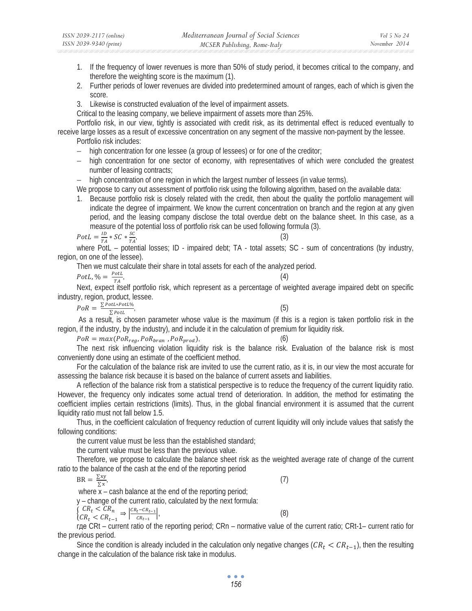- 1. If the frequency of lower revenues is more than 50% of study period, it becomes critical to the company, and therefore the weighting score is the maximum (1).
- 2. Further periods of lower revenues are divided into predetermined amount of ranges, each of which is given the score.
- 3. Likewise is constructed evaluation of the level of impairment assets.

Critical to the leasing company, we believe impairment of assets more than 25%.

Portfolio risk, in our view, tightly is associated with credit risk, as its detrimental effect is reduced eventually to receive large losses as a result of excessive concentration on any segment of the massive non-payment by the lessee.

Portfolio risk includes:

- − high concentration for one lessee (a group of lessees) or for one of the creditor;
- − high concentration for one sector of economy, with representatives of which were concluded the greatest number of leasing contracts;

− high concentration of one region in which the largest number of lessees (in value terms).

We propose to carry out assessment of portfolio risk using the following algorithm, based on the available data:

1. Because portfolio risk is closely related with the credit, then about the quality the portfolio management will indicate the degree of impairment. We know the current concentration on branch and the region at any given period, and the leasing company disclose the total overdue debt on the balance sheet. In this case, as a measure of the potential loss of portfolio risk can be used following formula (3).

$$
PotL = \frac{ID}{TA} * SC * \frac{SC}{TA'}
$$
 (3)

where PotL – potential losses; ID - impaired debt; TA - total assets; SC - sum of concentrations (by industry, region, on one of the lessee).

Then we must calculate their share in total assets for each of the analyzed period.

$$
PotL, \% = \frac{PotL}{TA}
$$

 $\frac{\partial t}{\partial t}$  (4) Next, expect itself portfolio risk, which represent as a percentage of weighted average impaired debt on specific industry, region, product, lessee.

 $PoR = \frac{\sum_{P}_{P} t L * P_{O} t L}{\sum_{P}_{P} t L},$  (5)

 As a result, is chosen parameter whose value is the maximum (if this is a region is taken portfolio risk in the region, if the industry, by the industry), and include it in the calculation of premium for liquidity risk.

 $PoR = max(PoR_{reg}, PoR_{tran}, PoR_{prod})$  (6)

The next risk influencing violation liquidity risk is the balance risk. Evaluation of the balance risk is most conveniently done using an estimate of the coefficient method.

For the calculation of the balance risk are invited to use the current ratio, as it is, in our view the most accurate for assessing the balance risk because it is based on the balance of current assets and liabilities.

A reflection of the balance risk from a statistical perspective is to reduce the frequency of the current liquidity ratio. However, the frequency only indicates some actual trend of deterioration. In addition, the method for estimating the coefficient implies certain restrictions (limits). Thus, in the global financial environment it is assumed that the current liquidity ratio must not fall below 1.5.

Thus, in the coefficient calculation of frequency reduction of current liquidity will only include values that satisfy the following conditions:

the current value must be less than the established standard;

the current value must be less than the previous value.

Therefore, we propose to calculate the balance sheet risk as the weighted average rate of change of the current ratio to the balance of the cash at the end of the reporting period

 $BR = \frac{\sum xy}{\sum x}$ 

൜

 $\frac{\sum xy}{\sum x'}$  (7) where  $x -$  cash balance at the end of the reporting period;

y – change of the current ratio, calculated by the next formula:

$$
\frac{CR_t < CR_n}{CR_t < CR_{t-1}} \Rightarrow \left| \frac{CR_t - CR_{t-1}}{CR_{t-1}} \right|,\tag{8}
$$

rge CRt – current ratio of the reporting period; CRn – normative value of the current ratio; CRt-1– current ratio for the previous period.

Since the condition is already included in the calculation only negative changes ( $CR_t < CR_{t-1}$ ), then the resulting change in the calculation of the balance risk take in modulus.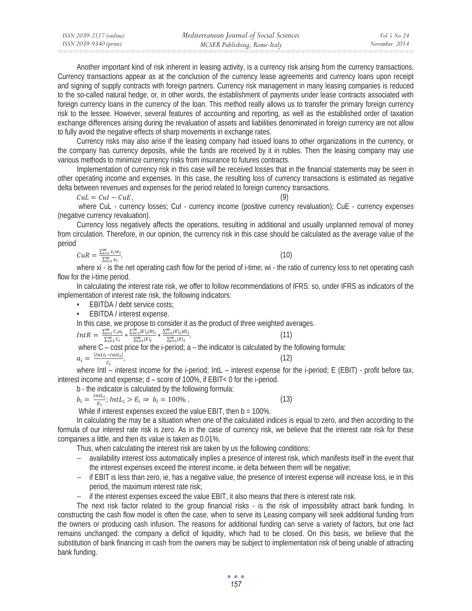| ISSN 2039-2117 (online) | Mediterranean Journal of Social Sciences | Vol 5 No 24   |
|-------------------------|------------------------------------------|---------------|
| ISSN 2039-9340 (print)  | MCSER Publishing, Rome-Italy             | November 2014 |

Another important kind of risk inherent in leasing activity, is a currency risk arising from the currency transactions. Currency transactions appear as at the conclusion of the currency lease agreements and currency loans upon receipt and signing of supply contracts with foreign partners. Currency risk management in many leasing companies is reduced to the so-called natural hedge, or, in other words, the establishment of payments under lease contracts associated with foreign currency loans in the currency of the loan. This method really allows us to transfer the primary foreign currency risk to the lessee. However, several features of accounting and reporting, as well as the established order of taxation exchange differences arising during the revaluation of assets and liabilities denominated in foreign currency are not allow to fully avoid the negative effects of sharp movements in exchange rates.

Currency risks may also arise if the leasing company had issued loans to other organizations in the currency, or the company has currency deposits, while the funds are received by it in rubles. Then the leasing company may use various methods to minimize currency risks from insurance to futures contracts.

Implementation of currency risk in this case will be received losses that in the financial statements may be seen in other operating income and expenses. In this case, the resulting loss of currency transactions is estimated as negative delta between revenues and expenses for the period related to foreign currency transactions.

 $\mathcal{C}u\mathcal{L} = \mathcal{C}u\mathcal{I} - \mathcal{C}u\mathcal{E}$ . (9)

where CuL - currency losses; CuI - currency income (positive currency revaluation); CuE - currency expenses (negative currency revaluation).

Currency loss negatively affects the operations, resulting in additional and usually unplanned removal of money from circulation. Therefore, in our opinion, the currency risk in this case should be calculated as the average value of the period

$$
CuR = \frac{\sum_{i=1}^{\infty} x_i w_i}{\sum_{i=1}^{\infty} x_i}
$$
 (10)  
where xi - is the net operating cash flow for the period of i-time: wi - the ratio of currency lo

cy loss to net operating cash flow for the i-time period.

In calculating the interest rate risk, we offer to follow recommendations of IFRS: so, under IFRS as indicators of the implementation of interest rate risk, the following indicators:

- EBITDA / debt service costs;
- EBITDA / interest expense.

In this case, we propose to consider it as the product of three weighted averages.

$$
IntR = \frac{\sum_{i=1}^{\infty} c_i a_i}{\sum_{i=1}^{\infty} c_i} \times \frac{\sum_{i=1}^{\infty} |E|_i |b|_i}{\sum_{i=1}^{\infty} |E|_i} \times \frac{\sum_{i=1}^{\infty} |E|_i |d|_i}{\sum_{i=1}^{\infty} |E|_i},
$$
\nwhere C - cost price for the i-period; a - the indicator is calculated by the following formula:  
\n
$$
a_i = \frac{|Int_i - Int_i|}{c_i},
$$
\n(12)

where IntI – interest income for the i-period; IntL – interest expense for the i-period; E (EBIT) - profit before tax, interest income and expense; d – score of 100%, if EBIT< 0 for the i-period.

b - the indicator is calculated by the following formula:

$$
b_i = \frac{int_i}{E_i}; Int L_i > E_i \Rightarrow b_i = 100\% \tag{13}
$$

While if interest expenses exceed the value EBIT, then  $b = 100\%$ .

In calculating the may be a situation when one of the calculated indices is equal to zero, and then according to the formula of our interest rate risk is zero. As in the case of currency risk, we believe that the interest rate risk for these companies a little, and then its value is taken as 0.01%.

Thus, when calculating the interest risk are taken by us the following conditions:

- − availability interest loss automatically implies a presence of interest risk, which manifests itself in the event that the interest expenses exceed the interest income, ie delta between them will be negative;
- − if EBIT is less than zero, ie, has a negative value, the presence of interest expense will increase loss, ie in this period, the maximum interest rate risk;
- − if the interest expenses exceed the value EBIT, it also means that there is interest rate risk.

The next risk factor related to the group financial risks - is the risk of impossibility attract bank funding. In constructing the cash flow model is often the case, when to serve its Leasing company will seek additional funding from the owners or producing cash infusion. The reasons for additional funding can serve a variety of factors, but one fact remains unchanged: the company a deficit of liquidity, which had to be closed. On this basis, we believe that the substitution of bank financing in cash from the owners may be subject to implementation risk of being unable of attracting bank funding.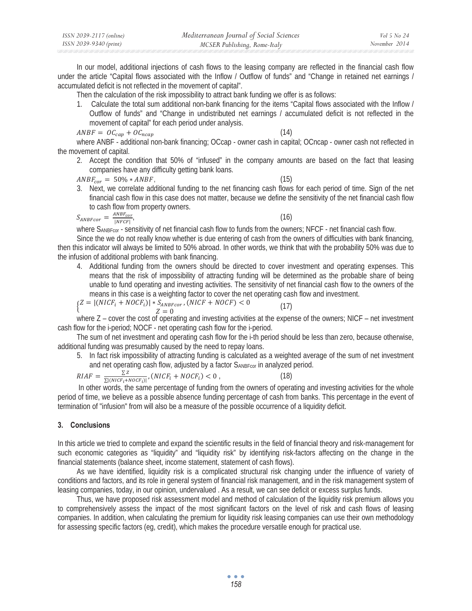| ISSN 2039-2117 (online) | Mediterranean Journal of Social Sciences | Vol 5 No 24   |
|-------------------------|------------------------------------------|---------------|
| ISSN 2039-9340 (print)  | MCSER Publishing, Rome-Italy             | November 2014 |

In our model, additional injections of cash flows to the leasing company are reflected in the financial cash flow under the article "Capital flows associated with the Inflow / Outflow of funds" and "Change in retained net earnings / accumulated deficit is not reflected in the movement of capital".

Then the calculation of the risk impossibility to attract bank funding we offer is as follows:

1. Calculate the total sum additional non-bank financing for the items "Capital flows associated with the Inflow / Outflow of funds" and "Change in undistributed net earnings / accumulated deficit is not reflected in the movement of capital" for each period under analysis.

$$
ANBF = OC_{cap} + OC_{ncap} \tag{14}
$$

where ANBF - additional non-bank financing; OCcap - owner cash in capital; OCncap - owner cash not reflected in the movement of capital.

2. Accept the condition that 50% of "infused" in the company amounts are based on the fact that leasing companies have any difficulty getting bank loans.

 $ANBF_{cor} = 50\% * ANBF$  (15)

- 
- 3. Next, we correlate additional funding to the net financing cash flows for each period of time. Sign of the net financial cash flow in this case does not matter, because we define the sensitivity of the net financial cash flow to cash flow from property owners.

 $S_{ANBFcor} = \frac{ANBF_{cor}}{|NFCF|}$ 

,  $(16)$ 

where SANBFcor - sensitivity of net financial cash flow to funds from the owners; NFCF - net financial cash flow.

Since the we do not really know whether is due entering of cash from the owners of difficulties with bank financing, then this indicator will always be limited to 50% abroad. In other words, we think that with the probability 50% was due to the infusion of additional problems with bank financing.

4. Additional funding from the owners should be directed to cover investment and operating expenses. This means that the risk of impossibility of attracting funding will be determined as the probable share of being unable to fund operating and investing activities. The sensitivity of net financial cash flow to the owners of the means in this case is a weighting factor to cover the net operating cash flow and investment.

$$
\begin{cases}\nZ = |(NICF_i + NOCF_i)| * S_{ANBFcor}, (NICF + NOCF) < 0 \\
Z = 0\n\end{cases} \tag{17}
$$

where Z – cover the cost of operating and investing activities at the expense of the owners; NICF – net investment cash flow for the i-period; NOCF - net operating cash flow for the i-period.

The sum of net investment and operating cash flow for the i-th period should be less than zero, because otherwise, additional funding was presumably caused by the need to repay loans.

5. In fact risk impossibility of attracting funding is calculated as a weighted average of the sum of net investment and net operating cash flow, adjusted by a factor SANBFcor in analyzed period.

$$
RIAF = \frac{\Sigma Z}{\Sigma |(NICF_i + NOCF_i) \cdot (NICF_i + NOCF_i) \cdot (18)}
$$

 In other words, the same percentage of funding from the owners of operating and investing activities for the whole period of time, we believe as a possible absence funding percentage of cash from banks. This percentage in the event of termination of "infusion" from will also be a measure of the possible occurrence of a liquidity deficit.

## **3. Conclusions**

In this article we tried to complete and expand the scientific results in the field of financial theory and risk-management for such economic categories as "liquidity" and "liquidity risk" by identifying risk-factors affecting on the change in the financial statements (balance sheet, income statement, statement of cash flows).

As we have identified, liquidity risk is a complicated structural risk changing under the influence of variety of conditions and factors, and its role in general system of financial risk management, and in the risk management system of leasing companies, today, in our opinion, undervalued . As a result, we can see deficit or excess surplus funds.

Thus, we have proposed risk assessment model and method of calculation of the liquidity risk premium allows you to comprehensively assess the impact of the most significant factors on the level of risk and cash flows of leasing companies. In addition, when calculating the premium for liquidity risk leasing companies can use their own methodology for assessing specific factors (eg, credit), which makes the procedure versatile enough for practical use.